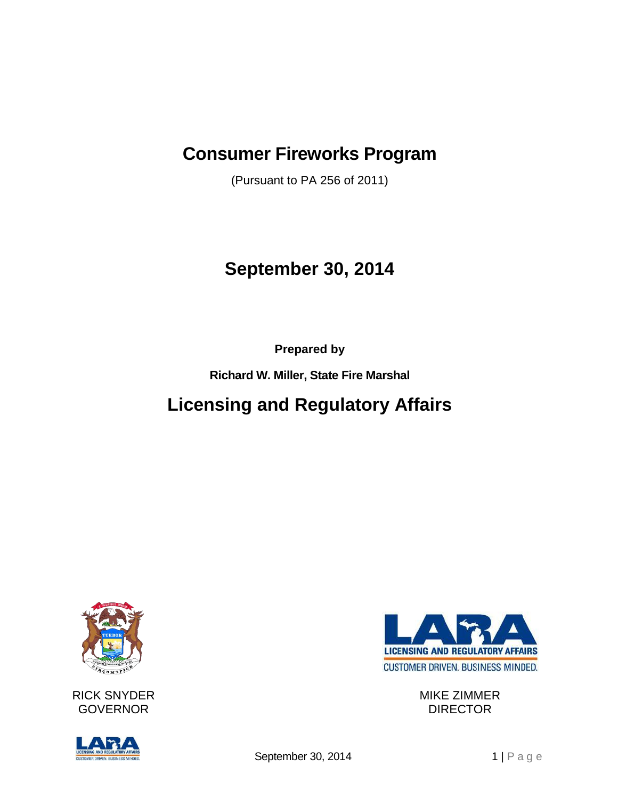## **Consumer Fireworks Program**

(Pursuant to PA 256 of 2011)

# **September 30, 2014**

**Prepared by**

**Richard W. Miller, State Fire Marshal**

## **Licensing and Regulatory Affairs**



RICK SNYDER GOVERNOR





MIKE ZIMMER DIRECTOR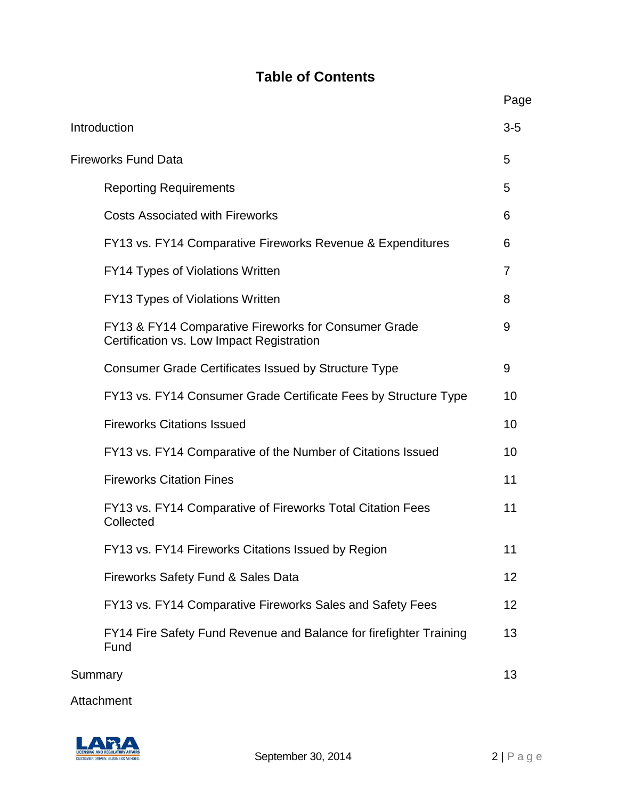## **Table of Contents**

|                            |                                                                                                   | Page           |
|----------------------------|---------------------------------------------------------------------------------------------------|----------------|
| Introduction               |                                                                                                   | $3-5$          |
| <b>Fireworks Fund Data</b> |                                                                                                   | 5              |
|                            | <b>Reporting Requirements</b>                                                                     | 5              |
|                            | <b>Costs Associated with Fireworks</b>                                                            | 6              |
|                            | FY13 vs. FY14 Comparative Fireworks Revenue & Expenditures                                        | 6              |
|                            | <b>FY14 Types of Violations Written</b>                                                           | $\overline{7}$ |
|                            | FY13 Types of Violations Written                                                                  | 8              |
|                            | FY13 & FY14 Comparative Fireworks for Consumer Grade<br>Certification vs. Low Impact Registration | 9              |
|                            | <b>Consumer Grade Certificates Issued by Structure Type</b>                                       | 9              |
|                            | FY13 vs. FY14 Consumer Grade Certificate Fees by Structure Type                                   | 10             |
|                            | <b>Fireworks Citations Issued</b>                                                                 | 10             |
|                            | FY13 vs. FY14 Comparative of the Number of Citations Issued                                       | 10             |
|                            | <b>Fireworks Citation Fines</b>                                                                   | 11             |
|                            | FY13 vs. FY14 Comparative of Fireworks Total Citation Fees<br>Collected                           | 11             |
|                            | FY13 vs. FY14 Fireworks Citations Issued by Region                                                | 11             |
|                            | Fireworks Safety Fund & Sales Data                                                                | 12             |
|                            | FY13 vs. FY14 Comparative Fireworks Sales and Safety Fees                                         | 12             |
|                            | FY14 Fire Safety Fund Revenue and Balance for firefighter Training<br>Fund                        | 13             |
| Summary                    |                                                                                                   | 13             |
|                            |                                                                                                   |                |

Attachment

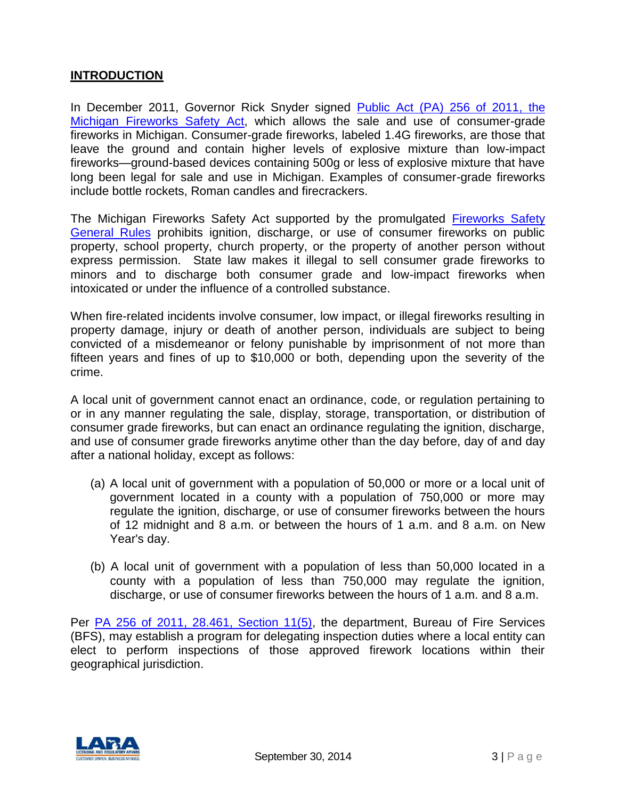#### **INTRODUCTION**

In December 2011, Governor Rick Snyder signed Public Act (PA) [256 of 2011, the](http://www.legislature.mi.gov/(S(wmthyr55trbmecfe4vevam55))/mileg.aspx?page=GetObject&objectname=mcl-Act-256-of-2011)  [Michigan Fireworks Safety Act,](http://www.legislature.mi.gov/(S(wmthyr55trbmecfe4vevam55))/mileg.aspx?page=GetObject&objectname=mcl-Act-256-of-2011) which allows the sale and use of consumer-grade fireworks in Michigan. Consumer-grade fireworks, labeled 1.4G fireworks, are those that leave the ground and contain higher levels of explosive mixture than low-impact fireworks—ground-based devices containing 500g or less of explosive mixture that have long been legal for sale and use in Michigan. Examples of consumer-grade fireworks include bottle rockets, Roman candles and firecrackers.

The Michigan Fireworks Safety Act supported by the promulgated [Fireworks Safety](http://www.michigan.gov/documents/lara/Fireworks_rules_3-20-14_451210_7.pdf?20150112141009)  [General Rules](http://www.michigan.gov/documents/lara/Fireworks_rules_3-20-14_451210_7.pdf?20150112141009) prohibits ignition, discharge, or use of consumer fireworks on public property, school property, church property, or the property of another person without express permission. State law makes it illegal to sell consumer grade fireworks to minors and to discharge both consumer grade and low-impact fireworks when intoxicated or under the influence of a controlled substance.

When fire-related incidents involve consumer, low impact, or illegal fireworks resulting in property damage, injury or death of another person, individuals are subject to being convicted of a misdemeanor or felony punishable by imprisonment of not more than fifteen years and fines of up to \$10,000 or both, depending upon the severity of the crime.

A local unit of government cannot enact an ordinance, code, or regulation pertaining to or in any manner regulating the sale, display, storage, transportation, or distribution of consumer grade fireworks, but can enact an ordinance regulating the ignition, discharge, and use of consumer grade fireworks anytime other than the day before, day of and day after a national holiday, except as follows:

- (a) A local unit of government with a population of 50,000 or more or a local unit of government located in a county with a population of 750,000 or more may regulate the ignition, discharge, or use of consumer fireworks between the hours of 12 midnight and 8 a.m. or between the hours of 1 a.m. and 8 a.m. on New Year's day.
- (b) A local unit of government with a population of less than 50,000 located in a county with a population of less than 750,000 may regulate the ignition, discharge, or use of consumer fireworks between the hours of 1 a.m. and 8 a.m.

Per [PA 256 of 2011, 28.461, Section 11\(5\),](http://www.legislature.mi.gov/(S(wmthyr55trbmecfe4vevam55))/mileg.aspx?page=getObject&objectName=mcl-28-461) the department, Bureau of Fire Services (BFS), may establish a program for delegating inspection duties where a local entity can elect to perform inspections of those approved firework locations within their geographical jurisdiction.

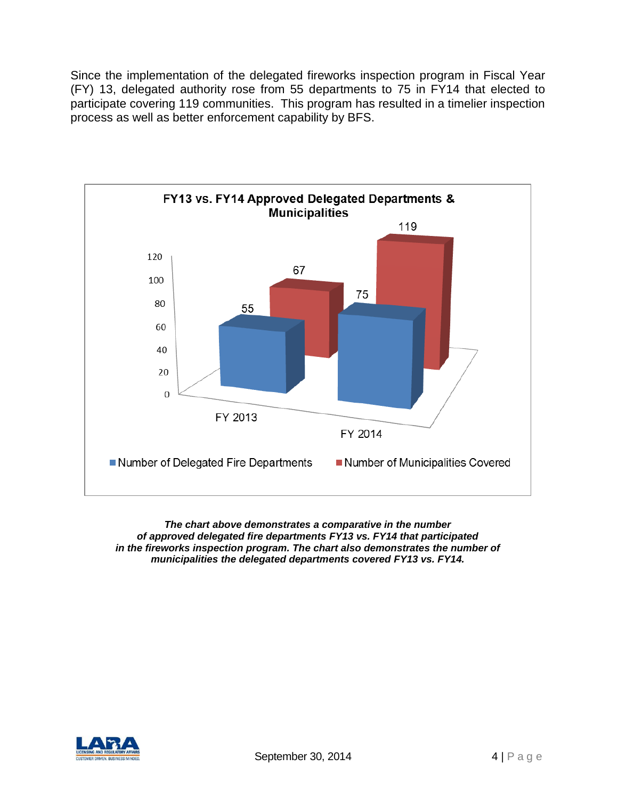Since the implementation of the delegated fireworks inspection program in Fiscal Year (FY) 13, delegated authority rose from 55 departments to 75 in FY14 that elected to participate covering 119 communities. This program has resulted in a timelier inspection process as well as better enforcement capability by BFS.



*The chart above demonstrates a comparative in the number of approved delegated fire departments FY13 vs. FY14 that participated in the fireworks inspection program. The chart also demonstrates the number of municipalities the delegated departments covered FY13 vs. FY14.*

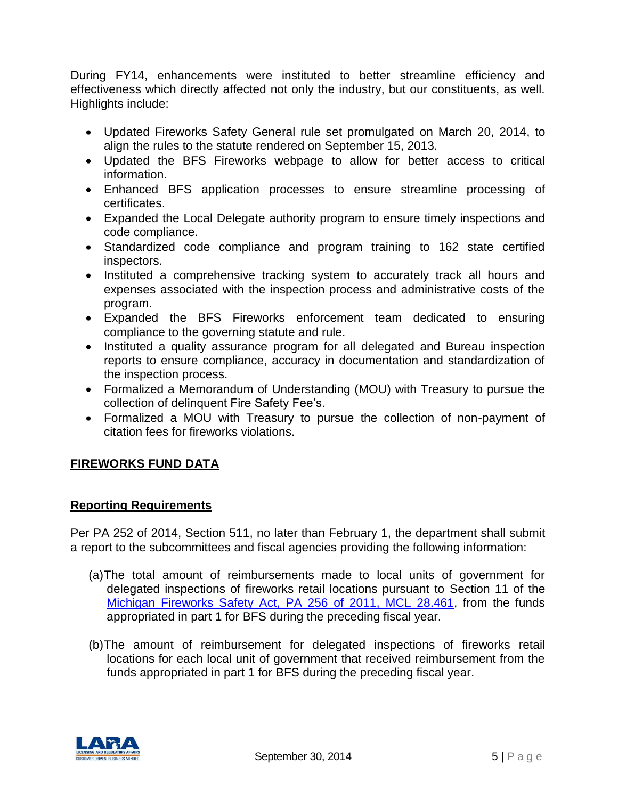During FY14, enhancements were instituted to better streamline efficiency and effectiveness which directly affected not only the industry, but our constituents, as well. Highlights include:

- Updated Fireworks Safety General rule set promulgated on March 20, 2014, to align the rules to the statute rendered on September 15, 2013.
- Updated the BFS Fireworks webpage to allow for better access to critical information.
- Enhanced BFS application processes to ensure streamline processing of certificates.
- Expanded the Local Delegate authority program to ensure timely inspections and code compliance.
- Standardized code compliance and program training to 162 state certified inspectors.
- Instituted a comprehensive tracking system to accurately track all hours and expenses associated with the inspection process and administrative costs of the program.
- Expanded the BFS Fireworks enforcement team dedicated to ensuring compliance to the governing statute and rule.
- Instituted a quality assurance program for all delegated and Bureau inspection reports to ensure compliance, accuracy in documentation and standardization of the inspection process.
- Formalized a Memorandum of Understanding (MOU) with Treasury to pursue the collection of delinquent Fire Safety Fee's.
- Formalized a MOU with Treasury to pursue the collection of non-payment of citation fees for fireworks violations.

### **FIREWORKS FUND DATA**

#### **Reporting Requirements**

Per PA 252 of 2014, Section 511, no later than February 1, the department shall submit a report to the subcommittees and fiscal agencies providing the following information:

- (a)The total amount of reimbursements made to local units of government for delegated inspections of fireworks retail locations pursuant to Section 11 of the [Michigan Fireworks Safety Act, PA 256](http://legislature.mi.gov/doc.aspx?mcl-28-461) of 2011, MCL 28.461, from the funds appropriated in part 1 for BFS during the preceding fiscal year.
- (b)The amount of reimbursement for delegated inspections of fireworks retail locations for each local unit of government that received reimbursement from the funds appropriated in part 1 for BFS during the preceding fiscal year.

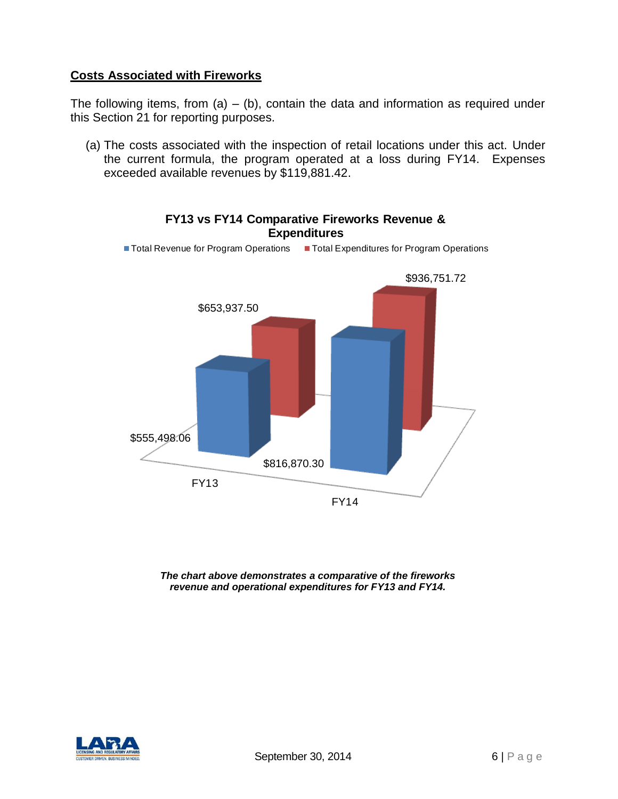#### **Costs Associated with Fireworks**

The following items, from  $(a) - (b)$ , contain the data and information as required under this Section 21 for reporting purposes.

(a) The costs associated with the inspection of retail locations under this act. Under the current formula, the program operated at a loss during FY14. Expenses exceeded available revenues by \$119,881.42.



**FY13 vs FY14 Comparative Fireworks Revenue & Expenditures** 

*The chart above demonstrates a comparative of the fireworks revenue and operational expenditures for FY13 and FY14.*

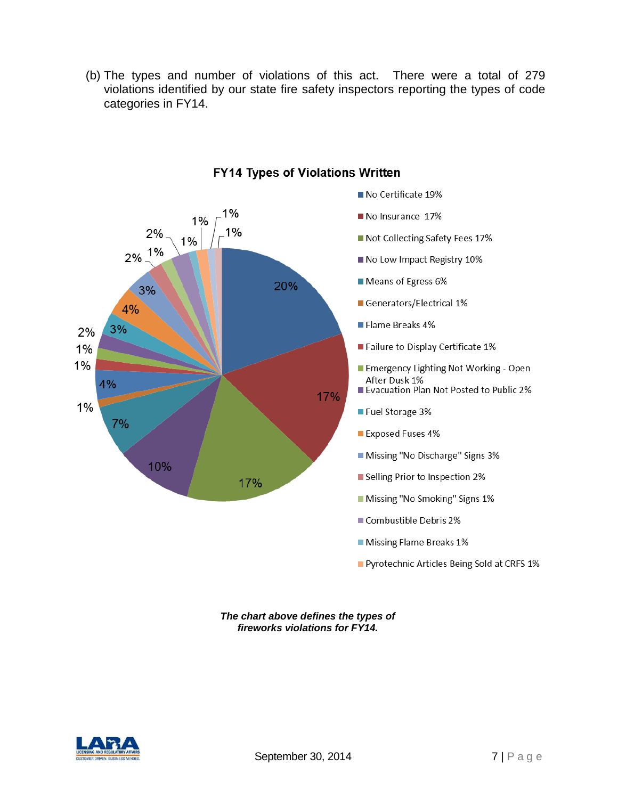(b) The types and number of violations of this act. There were a total of 279 violations identified by our state fire safety inspectors reporting the types of code categories in FY14.



#### **FY14 Types of Violations Written**

*The chart above defines the types of fireworks violations for FY14.*

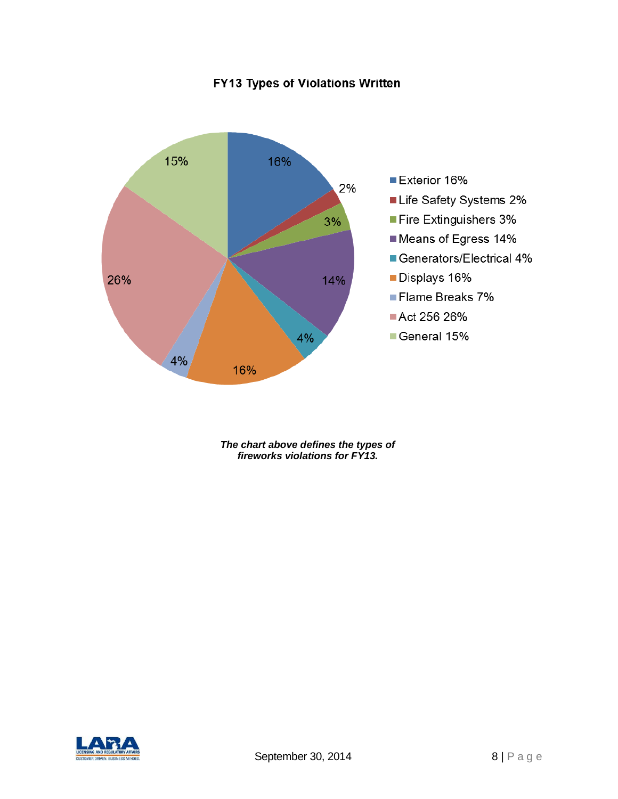## FY13 Types of Violations Written



*The chart above defines the types of fireworks violations for FY13.*

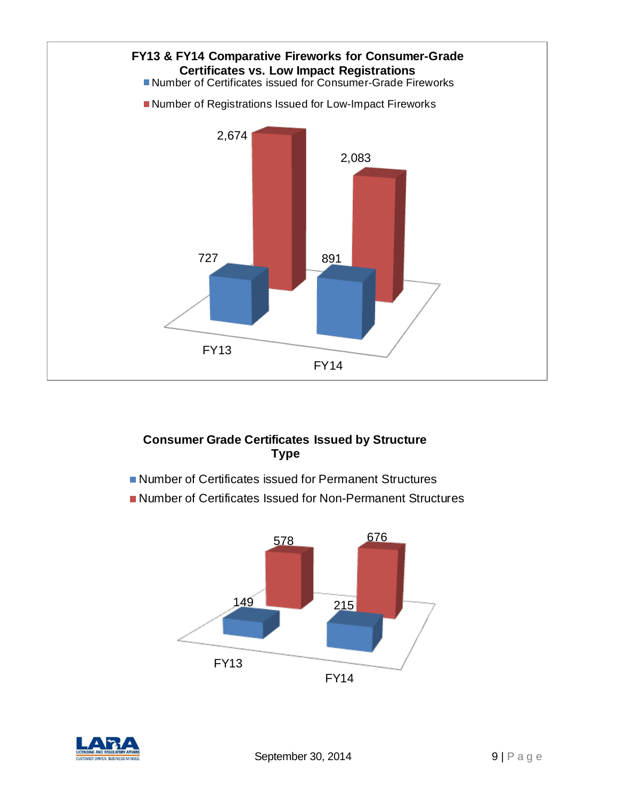

## **Consumer Grade Certificates Issued by Structure Type**

- Number of Certificates issued for Permanent Structures
- Number of Certificates Issued for Non-Permanent Structures



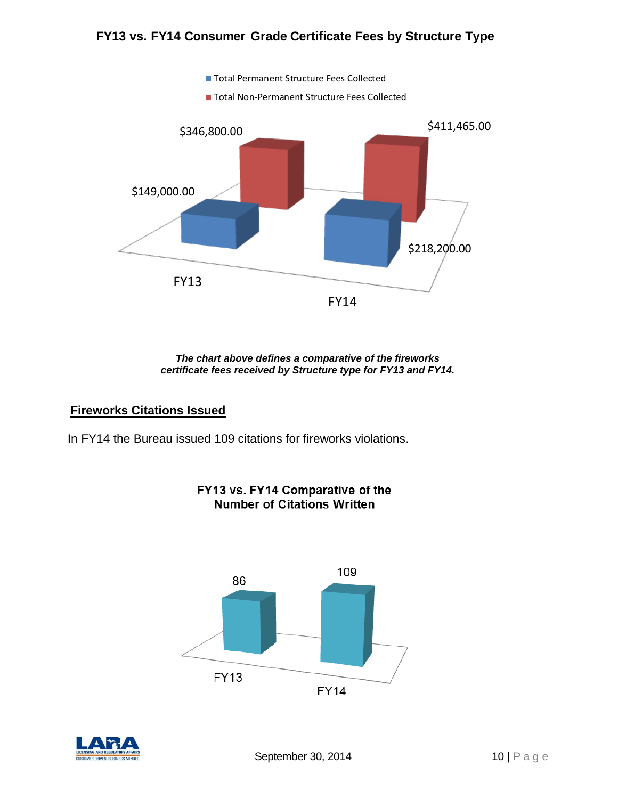### **FY13 vs. FY14 Consumer Grade Certificate Fees by Structure Type**



*The chart above defines a comparative of the fireworks certificate fees received by Structure type for FY13 and FY14.*

#### **Fireworks Citations Issued**

In FY14 the Bureau issued 109 citations for fireworks violations.



## FY13 vs. FY14 Comparative of the **Number of Citations Written**

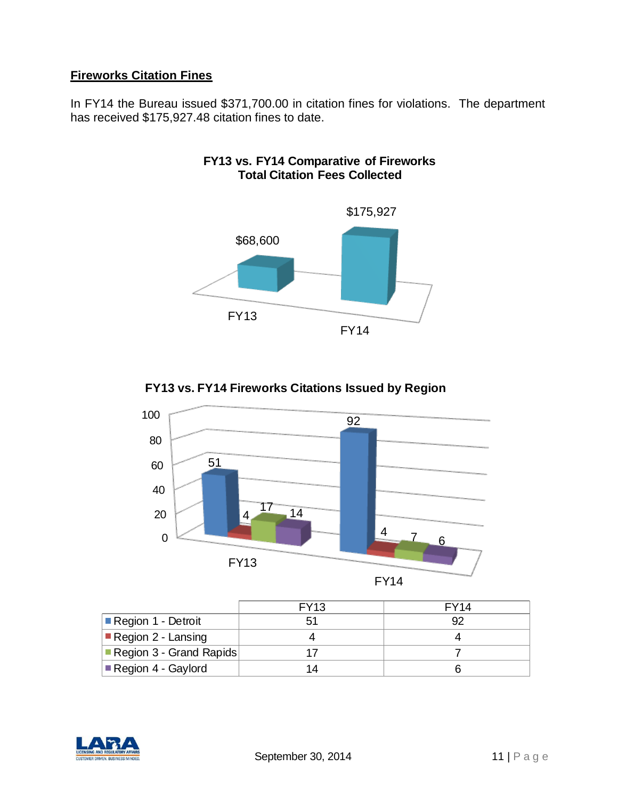## **Fireworks Citation Fines**

In FY14 the Bureau issued \$371,700.00 in citation fines for violations. The department has received \$175,927.48 citation fines to date.



### **FY13 vs. FY14 Comparative of Fireworks Total Citation Fees Collected**





|                                   | <b>FY13</b> | FY <sub>14</sub> |
|-----------------------------------|-------------|------------------|
| ■ Region 1 - Detroit              | 51          | 92               |
| $\blacksquare$ Region 2 - Lansing |             |                  |
| Region 3 - Grand Rapids           |             |                  |
| Elegion 4 - Gaylord               |             |                  |

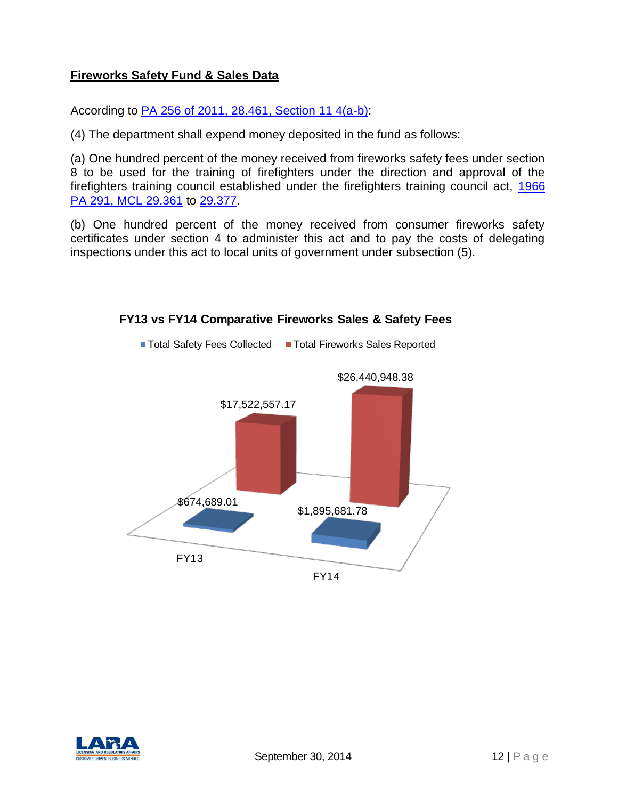#### **Fireworks Safety Fund & Sales Data**

According to [PA 256 of 2011, 28.461, Section 11 4\(a-b\):](http://www.legislature.mi.gov/(S(wmthyr55trbmecfe4vevam55))/mileg.aspx?page=getObject&objectName=mcl-28-461)

(4) The department shall expend money deposited in the fund as follows:

(a) One hundred percent of the money received from fireworks safety fees under section 8 to be used for the training of firefighters under the direction and approval of the firefighters training council established under the firefighters training council act, [1966](http://www.legislature.mi.gov/(S(wmthyr55trbmecfe4vevam55))/mileg.aspx?page=getObject&objectName=mcl-29-361)  [PA 291, MCL 29.361](http://www.legislature.mi.gov/(S(wmthyr55trbmecfe4vevam55))/mileg.aspx?page=getObject&objectName=mcl-29-361) to [29.377.](http://www.legislature.mi.gov/(S(wmthyr55trbmecfe4vevam55))/mileg.aspx?page=getObject&objectName=mcl-29-377)

(b) One hundred percent of the money received from consumer fireworks safety certificates under section 4 to administer this act and to pay the costs of delegating inspections under this act to local units of government under subsection (5).



#### **FY13 vs FY14 Comparative Fireworks Sales & Safety Fees**

■ Total Safety Fees Collected ■ Total Fireworks Sales Reported

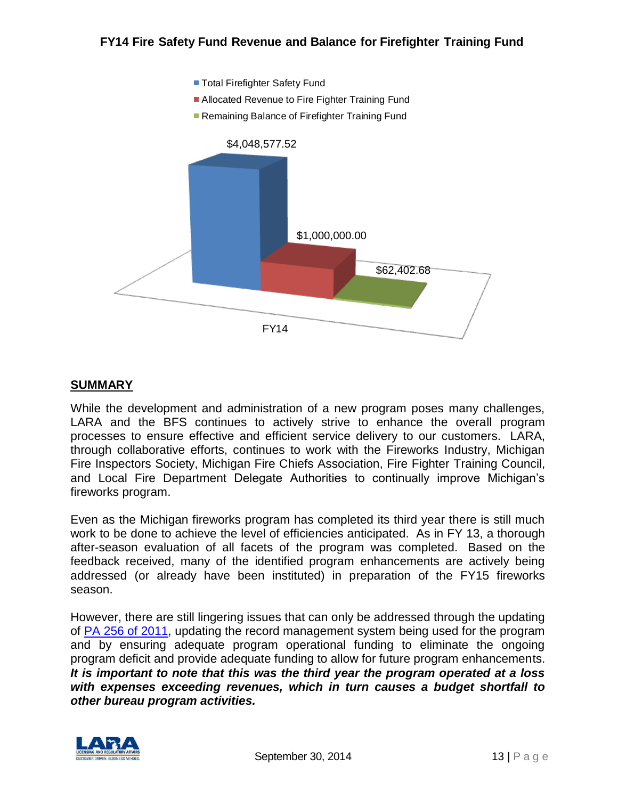

#### **SUMMARY**

While the development and administration of a new program poses many challenges, LARA and the BFS continues to actively strive to enhance the overall program processes to ensure effective and efficient service delivery to our customers. LARA, through collaborative efforts, continues to work with the Fireworks Industry, Michigan Fire Inspectors Society, Michigan Fire Chiefs Association, Fire Fighter Training Council, and Local Fire Department Delegate Authorities to continually improve Michigan's fireworks program.

Even as the Michigan fireworks program has completed its third year there is still much work to be done to achieve the level of efficiencies anticipated. As in FY 13, a thorough after-season evaluation of all facets of the program was completed. Based on the feedback received, many of the identified program enhancements are actively being addressed (or already have been instituted) in preparation of the FY15 fireworks season.

However, there are still lingering issues that can only be addressed through the updating of PA [256 of 2011,](http://www.legislature.mi.gov/(S(wmthyr55trbmecfe4vevam55))/mileg.aspx?page=GetObject&objectname=mcl-Act-256-of-2011) updating the record management system being used for the program and by ensuring adequate program operational funding to eliminate the ongoing program deficit and provide adequate funding to allow for future program enhancements. *It is important to note that this was the third year the program operated at a loss with expenses exceeding revenues, which in turn causes a budget shortfall to other bureau program activities.*